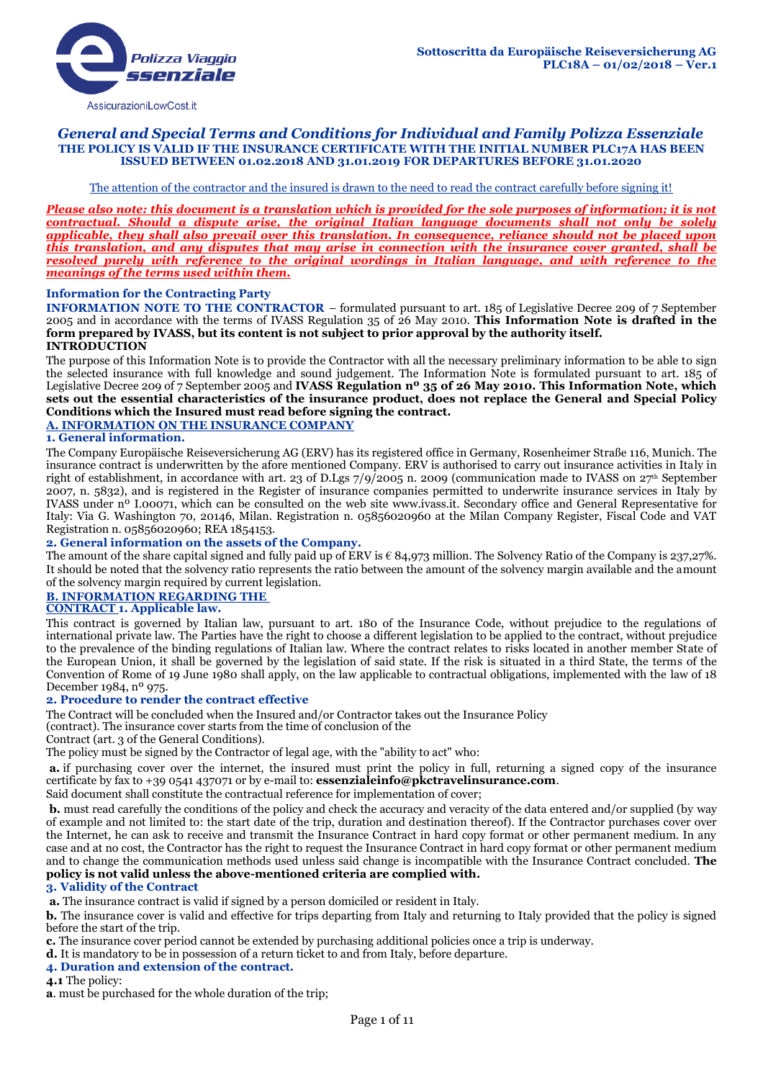

### *General and Special Terms and Conditions for Individual and Family Polizza Essenziale* **THE POLICY IS VALID IF THE INSURANCE CERTIFICATE WITH THE INITIAL NUMBER PLC17A HAS BEEN ISSUED BETWEEN 01.02.2018 AND 31.01.2019 FOR DEPARTURES BEFORE 31.01.2020**

#### The attention of the contractor and the insured is drawn to the need to read the contract carefully before signing it!

*Please also note: this document is a translation which is provided for the sole purposes of information; it is not contractual. Should a dispute arise, the original Italian language documents shall not only be solely applicable, they shall also prevail over this translation. In consequence, reliance should not be placed upon this translation, and any disputes that may arise in connection with the insurance cover granted, shall be resolved purely with reference to the original wordings in Italian language, and with reference to the meanings of the terms used within them.*

#### **Information for the Contracting Party**

**INFORMATION NOTE TO THE CONTRACTOR** – formulated pursuant to art. 185 of Legislative Decree 209 of 7 September 2005 and in accordance with the terms of IVASS Regulation 35 of 26 May 2010. **This Information Note is drafted in the form prepared by IVASS, but its content is not subject to prior approval by the authority itself. INTRODUCTION**

#### The purpose of this Information Note is to provide the Contractor with all the necessary preliminary information to be able to sign the selected insurance with full knowledge and sound judgement. The Information Note is formulated pursuant to art. 185 of Legislative Decree 209 of 7 September 2005 and **IVASS Regulation nº 35 of 26 May 2010. This Information Note, which sets out the essential characteristics of the insurance product, does not replace the General and Special Policy Conditions which the Insured must read before signing the contract.**

### **A. INFORMATION ON THE INSURANCE COMPANY**

#### **1. General information.**

The Company Europäische Reiseversicherung AG (ERV) has its registered office in Germany, Rosenheimer Straße 116, Munich. The insurance contract is underwritten by the afore mentioned Company. ERV is authorised to carry out insurance activities in Italy in right of establishment, in accordance with art. 23 of D.Lgs 7/9/2005 n. 2009 (communication made to IVASS on 27th September 2007, n. 5832), and is registered in the Register of insurance companies permitted to underwrite insurance services in Italy by IVASS under nº I.00071, which can be consulted on the web site www.ivass.it. Secondary office and General Representative for Italy: Via G. Washington 70, 20146, Milan. Registration n. 05856020960 at the Milan Company Register, Fiscal Code and VAT Registration n. 05856020960; REA 1854153.

#### **2. General information on the assets of the Company.**

The amount of the share capital signed and fully paid up of ERV is  $\epsilon$  84,973 million. The Solvency Ratio of the Company is 237,27%. It should be noted that the solvency ratio represents the ratio between the amount of the solvency margin available and the amount of the solvency margin required by current legislation.

# **B. INFORMATION REGARDING THE**

### **CONTRACT 1. Applicable law.**

This contract is governed by Italian law, pursuant to art. 180 of the Insurance Code, without prejudice to the regulations of international private law. The Parties have the right to choose a different legislation to be applied to the contract, without prejudice to the prevalence of the binding regulations of Italian law. Where the contract relates to risks located in another member State of the European Union, it shall be governed by the legislation of said state. If the risk is situated in a third State, the terms of the Convention of Rome of 19 June 1980 shall apply, on the law applicable to contractual obligations, implemented with the law of 18 December 1984, nº 975.

#### **2. Procedure to render the contract effective**

The Contract will be concluded when the Insured and/or Contractor takes out the Insurance Policy

(contract). The insurance cover starts from the time of conclusion of the

Contract (art. 3 of the General Conditions).

The policy must be signed by the Contractor of legal age, with the "ability to act" who:

**a.** if purchasing cover over the internet, the insured must print the policy in full, returning a signed copy of the insurance certificate by fax to +39 0541 437071 or by e-mail to: **essenzialeinfo@pkctravelinsurance.com**.

Said document shall constitute the contractual reference for implementation of cover;

**b.** must read carefully the conditions of the policy and check the accuracy and veracity of the data entered and/or supplied (by way of example and not limited to: the start date of the trip, duration and destination thereof). If the Contractor purchases cover over the Internet, he can ask to receive and transmit the Insurance Contract in hard copy format or other permanent medium. In any case and at no cost, the Contractor has the right to request the Insurance Contract in hard copy format or other permanent medium and to change the communication methods used unless said change is incompatible with the Insurance Contract concluded. **The policy is not valid unless the above-mentioned criteria are complied with.** 

#### **3. Validity of the Contract**

**a.** The insurance contract is valid if signed by a person domiciled or resident in Italy.

**b.** The insurance cover is valid and effective for trips departing from Italy and returning to Italy provided that the policy is signed before the start of the trip.

**c.** The insurance cover period cannot be extended by purchasing additional policies once a trip is underway.

**d.** It is mandatory to be in possession of a return ticket to and from Italy, before departure.

#### **4. Duration and extension of the contract.**

**4.1** The policy:

**a**. must be purchased for the whole duration of the trip;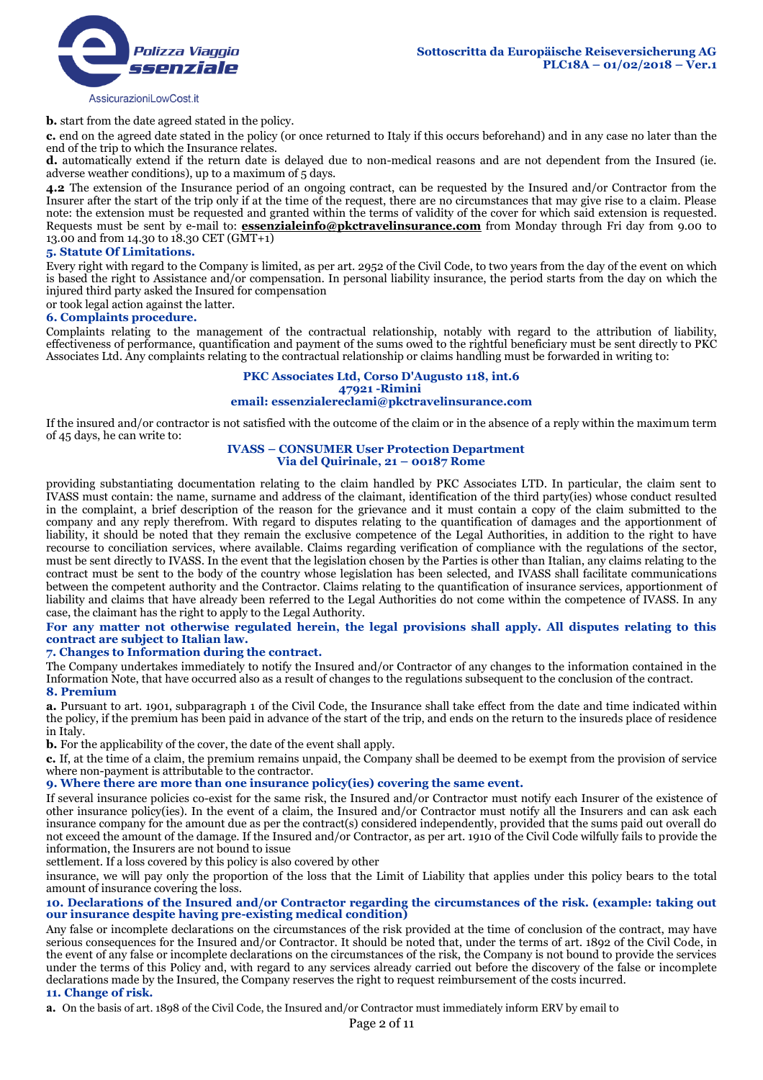

**b.** start from the date agreed stated in the policy.

**c.** end on the agreed date stated in the policy (or once returned to Italy if this occurs beforehand) and in any case no later than the end of the trip to which the Insurance relates.

**d.** automatically extend if the return date is delayed due to non-medical reasons and are not dependent from the Insured (ie. adverse weather conditions), up to a maximum of 5 days.

**4.2** The extension of the Insurance period of an ongoing contract, can be requested by the Insured and/or Contractor from the Insurer after the start of the trip only if at the time of the request, there are no circumstances that may give rise to a claim. Please note: the extension must be requested and granted within the terms of validity of the cover for which said extension is requested. Requests must be sent by e-mail to: **essenzialeinfo@pkctravelinsurance.com** from Monday through Fri day from 9.00 to 13.00 and from 14.30 to 18.30 CET (GMT+1)

#### **5. Statute Of Limitations.**

Every right with regard to the Company is limited, as per art. 2952 of the Civil Code, to two years from the day of the event on which is based the right to Assistance and/or compensation. In personal liability insurance, the period starts from the day on which the injured third party asked the Insured for compensation

or took legal action against the latter.

#### **6. Complaints procedure.**

Complaints relating to the management of the contractual relationship, notably with regard to the attribution of liability, effectiveness of performance, quantification and payment of the sums owed to the rightful beneficiary must be sent directly to PKC Associates Ltd. Any complaints relating to the contractual relationship or claims handling must be forwarded in writing to:

#### **PKC Associates Ltd, Corso D'Augusto 118, int.6 47921 -Rimini email: essenzialereclami@pkctravelinsurance.com**

If the insured and/or contractor is not satisfied with the outcome of the claim or in the absence of a reply within the maximum term of 45 days, he can write to:

#### **IVASS – CONSUMER User Protection Department Via del Quirinale, 21 – 00187 Rome**

providing substantiating documentation relating to the claim handled by PKC Associates LTD. In particular, the claim sent to IVASS must contain: the name, surname and address of the claimant, identification of the third party(ies) whose conduct resulted in the complaint, a brief description of the reason for the grievance and it must contain a copy of the claim submitted to the company and any reply therefrom. With regard to disputes relating to the quantification of damages and the apportionment of liability, it should be noted that they remain the exclusive competence of the Legal Authorities, in addition to the right to have recourse to conciliation services, where available. Claims regarding verification of compliance with the regulations of the sector, must be sent directly to IVASS. In the event that the legislation chosen by the Parties is other than Italian, any claims relating to the contract must be sent to the body of the country whose legislation has been selected, and IVASS shall facilitate communications between the competent authority and the Contractor. Claims relating to the quantification of insurance services, apportionment of liability and claims that have already been referred to the Legal Authorities do not come within the competence of IVASS. In any case, the claimant has the right to apply to the Legal Authority.

### **For any matter not otherwise regulated herein, the legal provisions shall apply. All disputes relating to this contract are subject to Italian law.**

# **7. Changes to Information during the contract.**

The Company undertakes immediately to notify the Insured and/or Contractor of any changes to the information contained in the Information Note, that have occurred also as a result of changes to the regulations subsequent to the conclusion of the contract. **8. Premium**

**a.** Pursuant to art. 1901, subparagraph 1 of the Civil Code, the Insurance shall take effect from the date and time indicated within the policy, if the premium has been paid in advance of the start of the trip, and ends on the return to the insureds place of residence in Italy.

**b.** For the applicability of the cover, the date of the event shall apply.

**c.** If, at the time of a claim, the premium remains unpaid, the Company shall be deemed to be exempt from the provision of service where non-payment is attributable to the contractor.

#### **9. Where there are more than one insurance policy(ies) covering the same event.**

If several insurance policies co-exist for the same risk, the Insured and/or Contractor must notify each Insurer of the existence of other insurance policy(ies). In the event of a claim, the Insured and/or Contractor must notify all the Insurers and can ask each insurance company for the amount due as per the contract(s) considered independently, provided that the sums paid out overall do not exceed the amount of the damage. If the Insured and/or Contractor, as per art. 1910 of the Civil Code wilfully fails to provide the information, the Insurers are not bound to issue

settlement. If a loss covered by this policy is also covered by other

insurance, we will pay only the proportion of the loss that the Limit of Liability that applies under this policy bears to the total amount of insurance covering the loss.

### **10. Declarations of the Insured and/or Contractor regarding the circumstances of the risk. (example: taking out our insurance despite having pre-existing medical condition)**

Any false or incomplete declarations on the circumstances of the risk provided at the time of conclusion of the contract, may have serious consequences for the Insured and/or Contractor. It should be noted that, under the terms of art. 1892 of the Civil Code, in the event of any false or incomplete declarations on the circumstances of the risk, the Company is not bound to provide the services under the terms of this Policy and, with regard to any services already carried out before the discovery of the false or incomplete declarations made by the Insured, the Company reserves the right to request reimbursement of the costs incurred.

#### **11. Change of risk.**

**a.** On the basis of art. 1898 of the Civil Code, the Insured and/or Contractor must immediately inform ERV by email to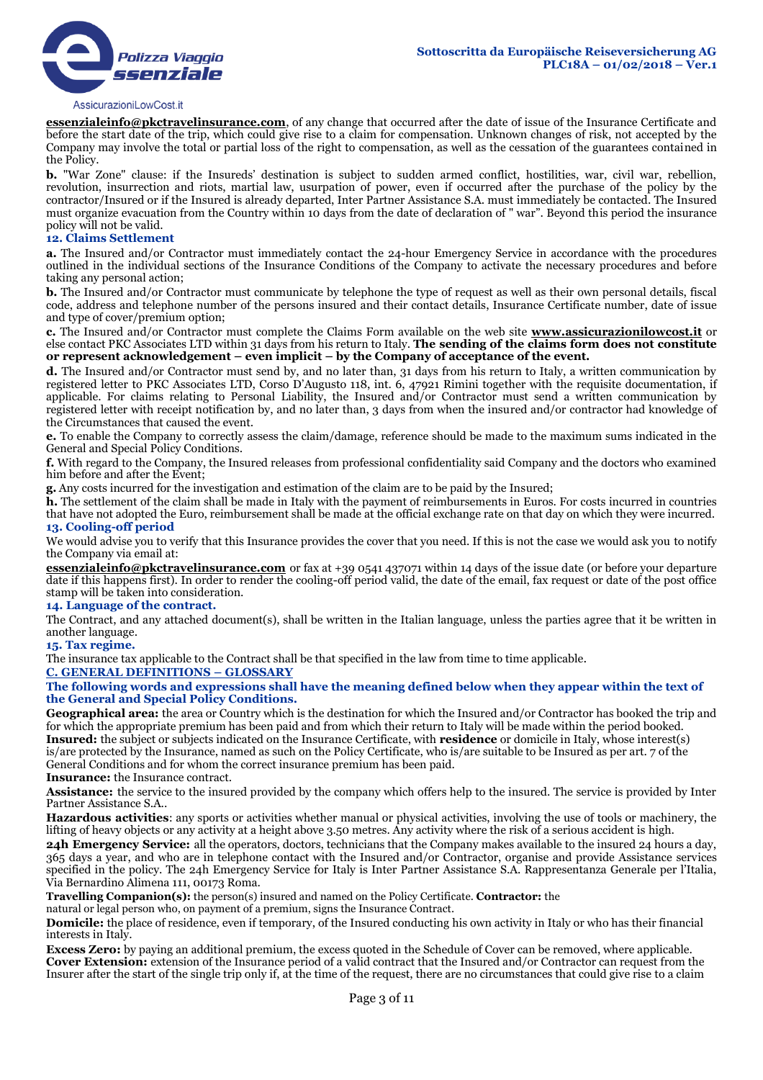

**essenzialeinfo@pkctravelinsurance.com**, of any change that occurred after the date of issue of the Insurance Certificate and before the start date of the trip, which could give rise to a claim for compensation. Unknown changes of risk, not accepted by the Company may involve the total or partial loss of the right to compensation, as well as the cessation of the guarantees contained in the Policy.

**b.** "War Zone" clause: if the Insureds' destination is subject to sudden armed conflict, hostilities, war, civil war, rebellion, revolution, insurrection and riots, martial law, usurpation of power, even if occurred after the purchase of the policy by the contractor/Insured or if the Insured is already departed, Inter Partner Assistance S.A. must immediately be contacted. The Insured must organize evacuation from the Country within 10 days from the date of declaration of " war". Beyond this period the insurance policy will not be valid.

### **12. Claims Settlement**

**a.** The Insured and/or Contractor must immediately contact the 24-hour Emergency Service in accordance with the procedures outlined in the individual sections of the Insurance Conditions of the Company to activate the necessary procedures and before taking any personal action;

**b.** The Insured and/or Contractor must communicate by telephone the type of request as well as their own personal details, fiscal code, address and telephone number of the persons insured and their contact details, Insurance Certificate number, date of issue and type of cover/premium option;

**c.** The Insured and/or Contractor must complete the Claims Form available on the web site **www.assicurazionilowcost.it** or else contact PKC Associates LTD within 31 days from his return to Italy. **The sending of the claims form does not constitute or represent acknowledgement – even implicit – by the Company of acceptance of the event.** 

**d.** The Insured and/or Contractor must send by, and no later than, 31 days from his return to Italy, a written communication by registered letter to PKC Associates LTD, Corso D'Augusto 118, int. 6, 47921 Rimini together with the requisite documentation, if applicable. For claims relating to Personal Liability, the Insured and/or Contractor must send a written communication by registered letter with receipt notification by, and no later than, 3 days from when the insured and/or contractor had knowledge of the Circumstances that caused the event.

**e.** To enable the Company to correctly assess the claim/damage, reference should be made to the maximum sums indicated in the General and Special Policy Conditions.

**f.** With regard to the Company, the Insured releases from professional confidentiality said Company and the doctors who examined him before and after the Event;

**g.** Any costs incurred for the investigation and estimation of the claim are to be paid by the Insured;

**h.** The settlement of the claim shall be made in Italy with the payment of reimbursements in Euros. For costs incurred in countries that have not adopted the Euro, reimbursement shall be made at the official exchange rate on that day on which they were incurred. **13. Cooling-off period** 

We would advise you to verify that this Insurance provides the cover that you need. If this is not the case we would ask you to notify the Company via email at:

**essenzialeinfo@pkctravelinsurance.com** or fax at +39 0541 437071 within 14 days of the issue date (or before your departure date if this happens first). In order to render the cooling-off period valid, the date of the email, fax request or date of the post office stamp will be taken into consideration.

#### **14. Language of the contract.**

The Contract, and any attached document(s), shall be written in the Italian language, unless the parties agree that it be written in another language.

**15. Tax regime.** 

The insurance tax applicable to the Contract shall be that specified in the law from time to time applicable.

**C. GENERAL DEFINITIONS – GLOSSARY**

**The following words and expressions shall have the meaning defined below when they appear within the text of the General and Special Policy Conditions.**

**Geographical area:** the area or Country which is the destination for which the Insured and/or Contractor has booked the trip and for which the appropriate premium has been paid and from which their return to Italy will be made within the period booked. **Insured:** the subject or subjects indicated on the Insurance Certificate, with **residence** or domicile in Italy, whose interest(s) is/are protected by the Insurance, named as such on the Policy Certificate, who is/are suitable to be Insured as per art. 7 of the General Conditions and for whom the correct insurance premium has been paid.

#### **Insurance:** the Insurance contract.

**Assistance:** the service to the insured provided by the company which offers help to the insured. The service is provided by Inter Partner Assistance S.A..

**Hazardous activities**: any sports or activities whether manual or physical activities, involving the use of tools or machinery, the lifting of heavy objects or any activity at a height above 3.50 metres. Any activity where the risk of a serious accident is high.

**24h Emergency Service:** all the operators, doctors, technicians that the Company makes available to the insured 24 hours a day, 365 days a year, and who are in telephone contact with the Insured and/or Contractor, organise and provide Assistance services specified in the policy. The 24h Emergency Service for Italy is Inter Partner Assistance S.A. Rappresentanza Generale per l'Italia, Via Bernardino Alimena 111, 00173 Roma.

**Travelling Companion(s):** the person(s) insured and named on the Policy Certificate. **Contractor:** the

natural or legal person who, on payment of a premium, signs the Insurance Contract.

**Domicile:** the place of residence, even if temporary, of the Insured conducting his own activity in Italy or who has their financial interests in Italy.

**Excess Zero:** by paying an additional premium, the excess quoted in the Schedule of Cover can be removed, where applicable. **Cover Extension:** extension of the Insurance period of a valid contract that the Insured and/or Contractor can request from the Insurer after the start of the single trip only if, at the time of the request, there are no circumstances that could give rise to a claim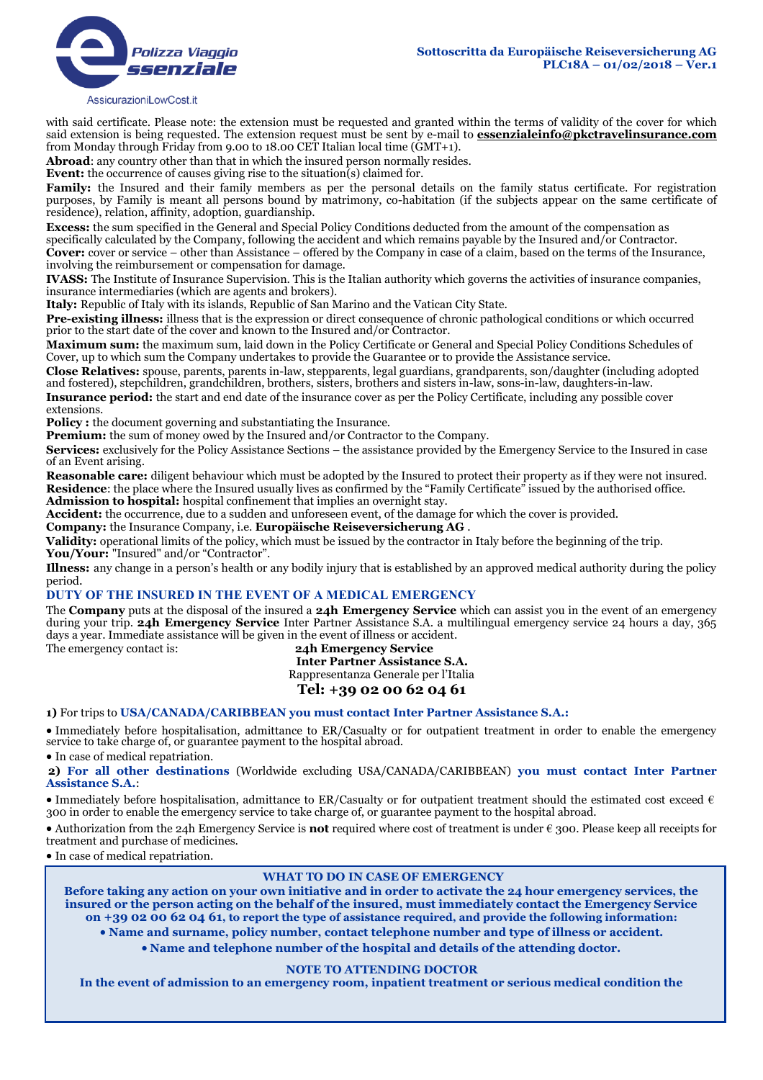

with said certificate. Please note: the extension must be requested and granted within the terms of validity of the cover for which said extension is being requested. The extension request must be sent by e-mail to **essenzialeinfo@pkctravelinsurance.com** from Monday through Friday from 9.00 to 18.00 CET Italian local time (GMT+1).

**Abroad**: any country other than that in which the insured person normally resides.

**Event:** the occurrence of causes giving rise to the situation(s) claimed for.

**Family:** the Insured and their family members as per the personal details on the family status certificate. For registration purposes, by Family is meant all persons bound by matrimony, co-habitation (if the subjects appear on the same certificate of residence), relation, affinity, adoption, guardianship.

**Excess:** the sum specified in the General and Special Policy Conditions deducted from the amount of the compensation as specifically calculated by the Company, following the accident and which remains payable by the Insured and/or Contractor. **Cover:** cover or service – other than Assistance – offered by the Company in case of a claim, based on the terms of the Insurance,

involving the reimbursement or compensation for damage.

**IVASS:** The Institute of Insurance Supervision. This is the Italian authority which governs the activities of insurance companies, insurance intermediaries (which are agents and brokers).

**Italy:** Republic of Italy with its islands, Republic of San Marino and the Vatican City State.

Pre-existing illness: illness that is the expression or direct consequence of chronic pathological conditions or which occurred prior to the start date of the cover and known to the Insured and/or Contractor.

**Maximum sum:** the maximum sum, laid down in the Policy Certificate or General and Special Policy Conditions Schedules of Cover, up to which sum the Company undertakes to provide the Guarantee or to provide the Assistance service.

**Close Relatives:** spouse, parents, parents in-law, stepparents, legal guardians, grandparents, son/daughter (including adopted and fostered), stepchildren, grandchildren, brothers, sisters, brothers and sisters in-law, sons-in-law, daughters-in-law.

**Insurance period:** the start and end date of the insurance cover as per the Policy Certificate, including any possible cover extensions.

**Policy :** the document governing and substantiating the Insurance.

**Premium:** the sum of money owed by the Insured and/or Contractor to the Company.

**Services:** exclusively for the Policy Assistance Sections – the assistance provided by the Emergency Service to the Insured in case of an Event arising.

**Reasonable care:** diligent behaviour which must be adopted by the Insured to protect their property as if they were not insured. **Residence**: the place where the Insured usually lives as confirmed by the "Family Certificate" issued by the authorised office. **Admission to hospital:** hospital confinement that implies an overnight stay.

**Accident:** the occurrence, due to a sudden and unforeseen event, of the damage for which the cover is provided.

**Company:** the Insurance Company, i.e. **Europäische Reiseversicherung AG** .

**Validity:** operational limits of the policy, which must be issued by the contractor in Italy before the beginning of the trip. You/Your: "Insured" and/or "Contractor".

**Illness:** any change in a person's health or any bodily injury that is established by an approved medical authority during the policy period.

#### **DUTY OF THE INSURED IN THE EVENT OF A MEDICAL EMERGENCY**

The **Company** puts at the disposal of the insured a **24h Emergency Service** which can assist you in the event of an emergency during your trip. **24h Emergency Service** Inter Partner Assistance S.A. a multilingual emergency service 24 hours a day, 365 days a year. Immediate assistance will be given in the event of illness or accident. The emergency contact is: **24h Emergency Service**

**Inter Partner Assistance S.A.** Rappresentanza Generale per l'Italia

# **Tel: +39 02 00 62 04 61**

#### **1)** For trips to **USA/CANADA/CARIBBEAN you must contact Inter Partner Assistance S.A.:**

 Immediately before hospitalisation, admittance to ER/Casualty or for outpatient treatment in order to enable the emergency service to take charge of, or guarantee payment to the hospital abroad.

• In case of medical repatriation.

**2) For all other destinations** (Worldwide excluding USA/CANADA/CARIBBEAN) **you must contact Inter Partner Assistance S.A.**:

• Immediately before hospitalisation, admittance to ER/Casualty or for outpatient treatment should the estimated cost exceed  $\epsilon$ 300 in order to enable the emergency service to take charge of, or guarantee payment to the hospital abroad.

 Authorization from the 24h Emergency Service is **not** required where cost of treatment is under € 300. Please keep all receipts for treatment and purchase of medicines.

• In case of medical repatriation.

### **WHAT TO DO IN CASE OF EMERGENCY**

**Before taking any action on your own initiative and in order to activate the 24 hour emergency services, the insured or the person acting on the behalf of the insured, must immediately contact the Emergency Service on +39 02 00 62 04 61, to report the type of assistance required, and provide the following information:**

**Name and surname, policy number, contact telephone number and type of illness or accident.** 

**Name and telephone number of the hospital and details of the attending doctor.** 

#### **NOTE TO ATTENDING DOCTOR**

**In the event of admission to an emergency room, inpatient treatment or serious medical condition the**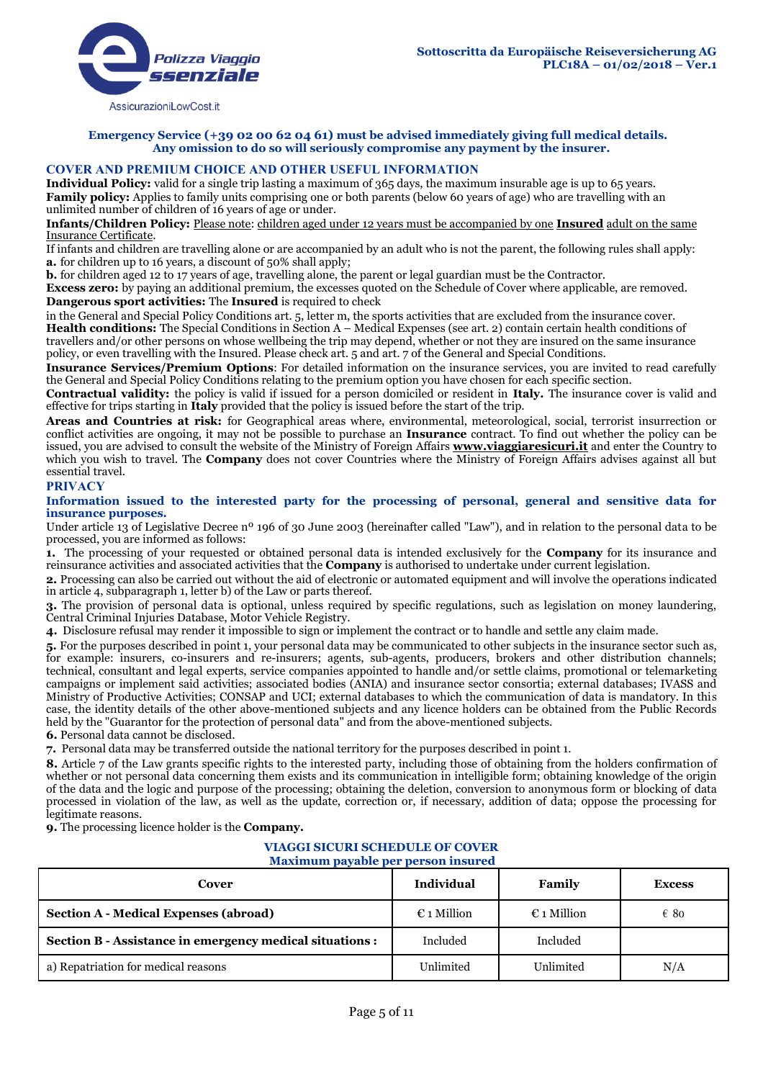

**Emergency Service (+39 02 00 62 04 61) must be advised immediately giving full medical details. Any omission to do so will seriously compromise any payment by the insurer.**

# **COVER AND PREMIUM CHOICE AND OTHER USEFUL INFORMATION**

**Individual Policy:** valid for a single trip lasting a maximum of 365 days, the maximum insurable age is up to 65 years. **Family policy:** Applies to family units comprising one or both parents (below 60 years of age) who are travelling with an unlimited number of children of 16 years of age or under.

**Infants/Children Policy:** Please note: children aged under 12 years must be accompanied by one **Insured** adult on the same Insurance Certificate.

If infants and children are travelling alone or are accompanied by an adult who is not the parent, the following rules shall apply: **a.** for children up to 16 years, a discount of 50% shall apply;

**b.** for children aged 12 to 17 years of age, travelling alone, the parent or legal guardian must be the Contractor.

**Excess zero:** by paying an additional premium, the excesses quoted on the Schedule of Cover where applicable, are removed. **Dangerous sport activities:** The **Insured** is required to check

in the General and Special Policy Conditions art. 5, letter m, the sports activities that are excluded from the insurance cover. **Health conditions:** The Special Conditions in Section A – Medical Expenses (see art. 2) contain certain health conditions of travellers and/or other persons on whose wellbeing the trip may depend, whether or not they are insured on the same insurance policy, or even travelling with the Insured. Please check art. 5 and art. 7 of the General and Special Conditions.

**Insurance Services/Premium Options**: For detailed information on the insurance services, you are invited to read carefully the General and Special Policy Conditions relating to the premium option you have chosen for each specific section.

**Contractual validity:** the policy is valid if issued for a person domiciled or resident in **Italy.** The insurance cover is valid and effective for trips starting in **Italy** provided that the policy is issued before the start of the trip.

**Areas and Countries at risk:** for Geographical areas where, environmental, meteorological, social, terrorist insurrection or conflict activities are ongoing, it may not be possible to purchase an **Insurance** contract. To find out whether the policy can be issued, you are advised to consult the website of the Ministry of Foreign Affairs **www.viaggiaresicuri.it** and enter the Country to which you wish to travel. The **Company** does not cover Countries where the Ministry of Foreign Affairs advises against all but essential travel.

# **PRIVACY**

### **Information issued to the interested party for the processing of personal, general and sensitive data for insurance purposes.**

Under article 13 of Legislative Decree nº 196 of 30 June 2003 (hereinafter called "Law"), and in relation to the personal data to be processed, you are informed as follows:

**1.** The processing of your requested or obtained personal data is intended exclusively for the **Company** for its insurance and reinsurance activities and associated activities that the **Company** is authorised to undertake under current legislation.

**2.** Processing can also be carried out without the aid of electronic or automated equipment and will involve the operations indicated in article 4, subparagraph 1, letter b) of the Law or parts thereof.

**3.** The provision of personal data is optional, unless required by specific regulations, such as legislation on money laundering, Central Criminal Injuries Database, Motor Vehicle Registry.

**4.** Disclosure refusal may render it impossible to sign or implement the contract or to handle and settle any claim made.

**5.** For the purposes described in point 1, your personal data may be communicated to other subjects in the insurance sector such as, for example: insurers, co-insurers and re-insurers; agents, sub-agents, producers, brokers and other distribution channels; technical, consultant and legal experts, service companies appointed to handle and/or settle claims, promotional or telemarketing campaigns or implement said activities; associated bodies (ANIA) and insurance sector consortia; external databases; IVASS and Ministry of Productive Activities; CONSAP and UCI; external databases to which the communication of data is mandatory. In this case, the identity details of the other above-mentioned subjects and any licence holders can be obtained from the Public Records held by the "Guarantor for the protection of personal data" and from the above-mentioned subjects. **6.** Personal data cannot be disclosed.

**7.** Personal data may be transferred outside the national territory for the purposes described in point 1.

**8.** Article 7 of the Law grants specific rights to the interested party, including those of obtaining from the holders confirmation of whether or not personal data concerning them exists and its communication in intelligible form; obtaining knowledge of the origin of the data and the logic and purpose of the processing; obtaining the deletion, conversion to anonymous form or blocking of data processed in violation of the law, as well as the update, correction or, if necessary, addition of data; oppose the processing for legitimate reasons.

**9.** The processing licence holder is the **Company.**

#### **VIAGGI SICURI SCHEDULE OF COVER Maximum payable per person insured**

| Cover                                                    | <b>Individual</b>    | Family               | <b>Excess</b> |
|----------------------------------------------------------|----------------------|----------------------|---------------|
| <b>Section A - Medical Expenses (abroad)</b>             | $\epsilon$ 1 Million | $\epsilon$ 1 Million | $\epsilon$ 80 |
| Section B - Assistance in emergency medical situations : | Included             | Included             |               |
| a) Repatriation for medical reasons                      | Unlimited            | Unlimited            | N/A           |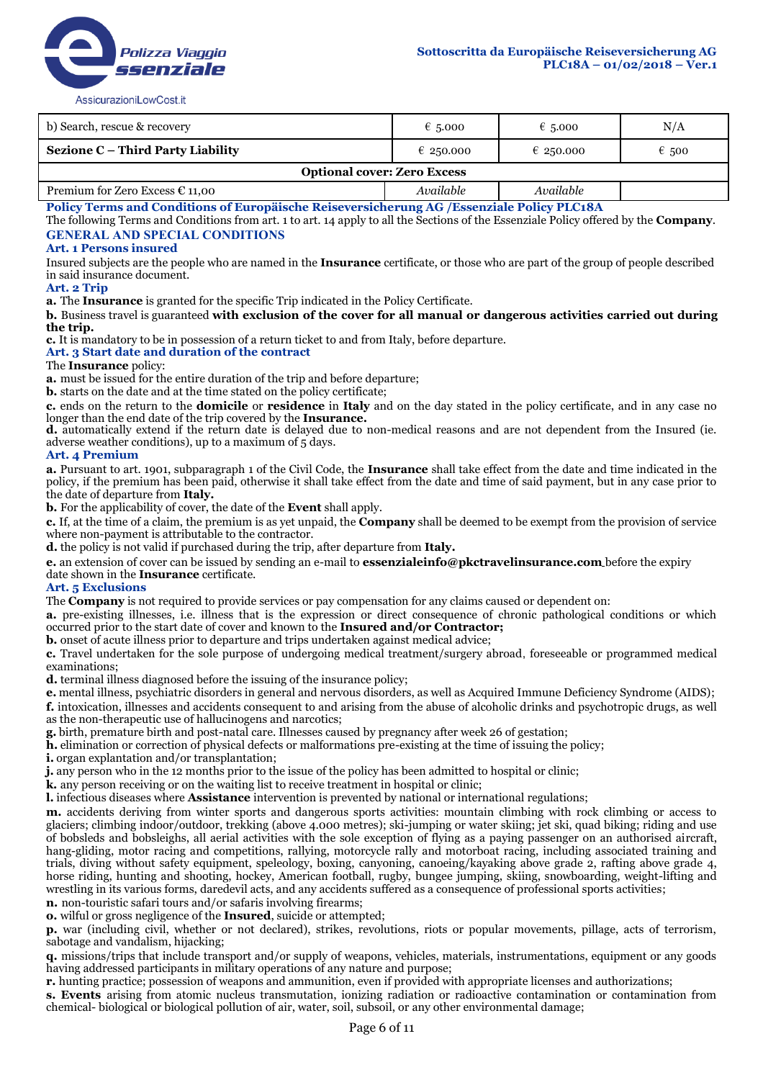

| b) Search, rescue & recovery             | $\epsilon$ 5.000 | € 5.000   | N/A            |  |
|------------------------------------------|------------------|-----------|----------------|--|
| Sezione C – Third Party Liability        | € 250.000        | € 250.000 | $\epsilon$ 500 |  |
| <b>Optional cover: Zero Excess</b>       |                  |           |                |  |
| Premium for Zero Excess $\epsilon$ 11,00 | Available        | Available |                |  |

**Policy Terms and Conditions of Europäische Reiseversicherung AG /Essenziale Policy PLC18A**

The following Terms and Conditions from art. 1 to art. 14 apply to all the Sections of the Essenziale Policy offered by the **Company**. **GENERAL AND SPECIAL CONDITIONS**

#### **Art. 1 Persons insured**

Insured subjects are the people who are named in the **Insurance** certificate, or those who are part of the group of people described in said insurance document.

### **Art. 2 Trip**

**a.** The **Insurance** is granted for the specific Trip indicated in the Policy Certificate.

**b.** Business travel is guaranteed **with exclusion of the cover for all manual or dangerous activities carried out during the trip.** 

**c.** It is mandatory to be in possession of a return ticket to and from Italy, before departure.

### **Art. 3 Start date and duration of the contract**

#### The **Insurance** policy:

**a.** must be issued for the entire duration of the trip and before departure;

**b.** starts on the date and at the time stated on the policy certificate;

**c.** ends on the return to the **domicile** or **residence** in **Italy** and on the day stated in the policy certificate, and in any case no longer than the end date of the trip covered by the **Insurance.**

**d.** automatically extend if the return date is delayed due to non-medical reasons and are not dependent from the Insured (ie. adverse weather conditions), up to a maximum of 5 days.

#### **Art. 4 Premium**

**a.** Pursuant to art. 1901, subparagraph 1 of the Civil Code, the **Insurance** shall take effect from the date and time indicated in the policy, if the premium has been paid, otherwise it shall take effect from the date and time of said payment, but in any case prior to the date of departure from **Italy.**

**b.** For the applicability of cover, the date of the **Event** shall apply.

**c.** If, at the time of a claim, the premium is as yet unpaid, the **Company** shall be deemed to be exempt from the provision of service where non-payment is attributable to the contractor.

**d.** the policy is not valid if purchased during the trip, after departure from **Italy.**

**e.** an extension of cover can be issued by sending an e-mail to **essenzialeinfo@pkctravelinsurance.com** before the expiry date shown in the **Insurance** certificate.

#### **Art. 5 Exclusions**

The **Company** is not required to provide services or pay compensation for any claims caused or dependent on:

**a.** pre-existing illnesses, i.e. illness that is the expression or direct consequence of chronic pathological conditions or which occurred prior to the start date of cover and known to the **Insured and/or Contractor;**

**b.** onset of acute illness prior to departure and trips undertaken against medical advice;

**c.** Travel undertaken for the sole purpose of undergoing medical treatment/surgery abroad, foreseeable or programmed medical examinations;

**d.** terminal illness diagnosed before the issuing of the insurance policy;

**e.** mental illness, psychiatric disorders in general and nervous disorders, as well as Acquired Immune Deficiency Syndrome (AIDS);

**f.** intoxication, illnesses and accidents consequent to and arising from the abuse of alcoholic drinks and psychotropic drugs, as well as the non-therapeutic use of hallucinogens and narcotics;

**g.** birth, premature birth and post-natal care. Illnesses caused by pregnancy after week 26 of gestation;

**h.** elimination or correction of physical defects or malformations pre-existing at the time of issuing the policy;

**i.** organ explantation and/or transplantation;

**j.** any person who in the 12 months prior to the issue of the policy has been admitted to hospital or clinic;

**k.** any person receiving or on the waiting list to receive treatment in hospital or clinic;

**l.** infectious diseases where **Assistance** intervention is prevented by national or international regulations;

**m.** accidents deriving from winter sports and dangerous sports activities: mountain climbing with rock climbing or access to glaciers; climbing indoor/outdoor, trekking (above 4.000 metres); ski-jumping or water skiing; jet ski, quad biking; riding and use of bobsleds and bobsleighs, all aerial activities with the sole exception of flying as a paying passenger on an authorised aircraft, hang-gliding, motor racing and competitions, rallying, motorcycle rally and motorboat racing, including associated training and trials, diving without safety equipment, speleology, boxing, canyoning, canoeing/kayaking above grade 2, rafting above grade 4, horse riding, hunting and shooting, hockey, American football, rugby, bungee jumping, skiing, snowboarding, weight-lifting and wrestling in its various forms, daredevil acts, and any accidents suffered as a consequence of professional sports activities;

**n.** non-touristic safari tours and/or safaris involving firearms;

**o.** wilful or gross negligence of the **Insured**, suicide or attempted;

**p.** war (including civil, whether or not declared), strikes, revolutions, riots or popular movements, pillage, acts of terrorism, sabotage and vandalism, hijacking;

**q.** missions/trips that include transport and/or supply of weapons, vehicles, materials, instrumentations, equipment or any goods having addressed participants in military operations of any nature and purpose;

**r.** hunting practice; possession of weapons and ammunition, even if provided with appropriate licenses and authorizations;

**s. Events** arising from atomic nucleus transmutation, ionizing radiation or radioactive contamination or contamination from chemical- biological or biological pollution of air, water, soil, subsoil, or any other environmental damage;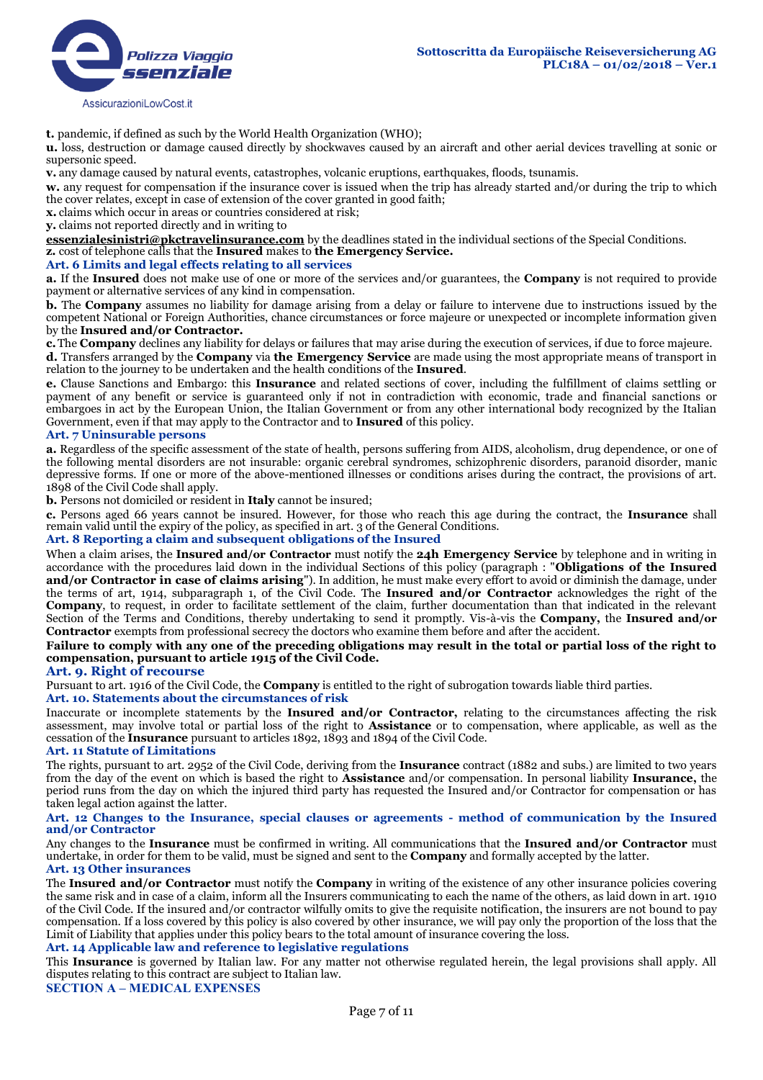**t.** pandemic, if defined as such by the World Health Organization (WHO);

**u.** loss, destruction or damage caused directly by shockwaves caused by an aircraft and other aerial devices travelling at sonic or supersonic speed.

**v.** any damage caused by natural events, catastrophes, volcanic eruptions, earthquakes, floods, tsunamis.

**w.** any request for compensation if the insurance cover is issued when the trip has already started and/or during the trip to which the cover relates, except in case of extension of the cover granted in good faith;

**x.** claims which occur in areas or countries considered at risk;

**y.** claims not reported directly and in writing to

**essenzialesinistri@pkctravelinsurance.com** by the deadlines stated in the individual sections of the Special Conditions. **z.** cost of telephone calls that the **Insured** makes to **the Emergency Service.**

#### **Art. 6 Limits and legal effects relating to all services**

**a.** If the **Insured** does not make use of one or more of the services and/or guarantees, the **Company** is not required to provide payment or alternative services of any kind in compensation.

**b.** The **Company** assumes no liability for damage arising from a delay or failure to intervene due to instructions issued by the competent National or Foreign Authorities, chance circumstances or force majeure or unexpected or incomplete information given by the **Insured and/or Contractor.**

**c.**The **Company** declines any liability for delays or failures that may arise during the execution of services, if due to force majeure. **d.** Transfers arranged by the **Company** via **the Emergency Service** are made using the most appropriate means of transport in relation to the journey to be undertaken and the health conditions of the **Insured**.

**e.** Clause Sanctions and Embargo: this **Insurance** and related sections of cover, including the fulfillment of claims settling or payment of any benefit or service is guaranteed only if not in contradiction with economic, trade and financial sanctions or embargoes in act by the European Union, the Italian Government or from any other international body recognized by the Italian Government, even if that may apply to the Contractor and to **Insured** of this policy.

#### **Art. 7 Uninsurable persons**

**a.** Regardless of the specific assessment of the state of health, persons suffering from AIDS, alcoholism, drug dependence, or one of the following mental disorders are not insurable: organic cerebral syndromes, schizophrenic disorders, paranoid disorder, manic depressive forms. If one or more of the above-mentioned illnesses or conditions arises during the contract, the provisions of art. 1898 of the Civil Code shall apply.

**b.** Persons not domiciled or resident in **Italy** cannot be insured;

**c.** Persons aged 66 years cannot be insured. However, for those who reach this age during the contract, the **Insurance** shall remain valid until the expiry of the policy, as specified in art. 3 of the General Conditions.

### **Art. 8 Reporting a claim and subsequent obligations of the Insured**

When a claim arises, the **Insured and/or Contractor** must notify the **24h Emergency Service** by telephone and in writing in accordance with the procedures laid down in the individual Sections of this policy (paragraph : "**Obligations of the Insured and/or Contractor in case of claims arising**"). In addition, he must make every effort to avoid or diminish the damage, under the terms of art, 1914, subparagraph 1, of the Civil Code. The **Insured and/or Contractor** acknowledges the right of the **Company**, to request, in order to facilitate settlement of the claim, further documentation than that indicated in the relevant Section of the Terms and Conditions, thereby undertaking to send it promptly. Vis-à-vis the **Company,** the **Insured and/or Contractor** exempts from professional secrecy the doctors who examine them before and after the accident.

### **Failure to comply with any one of the preceding obligations may result in the total or partial loss of the right to compensation, pursuant to article 1915 of the Civil Code.**

#### **Art. 9. Right of recourse**

Pursuant to art. 1916 of the Civil Code, the **Company** is entitled to the right of subrogation towards liable third parties. **Art. 10. Statements about the circumstances of risk** 

Inaccurate or incomplete statements by the **Insured and/or Contractor,** relating to the circumstances affecting the risk assessment, may involve total or partial loss of the right to **Assistance** or to compensation, where applicable, as well as the cessation of the **Insurance** pursuant to articles 1892, 1893 and 1894 of the Civil Code.

#### **Art. 11 Statute of Limitations**

The rights, pursuant to art. 2952 of the Civil Code, deriving from the **Insurance** contract (1882 and subs.) are limited to two years from the day of the event on which is based the right to **Assistance** and/or compensation. In personal liability **Insurance,** the period runs from the day on which the injured third party has requested the Insured and/or Contractor for compensation or has taken legal action against the latter.

#### **Art. 12 Changes to the Insurance, special clauses or agreements - method of communication by the Insured and/or Contractor**

Any changes to the **Insurance** must be confirmed in writing. All communications that the **Insured and/or Contractor** must undertake, in order for them to be valid, must be signed and sent to the **Company** and formally accepted by the latter.

#### **Art. 13 Other insurances**

The **Insured and/or Contractor** must notify the **Company** in writing of the existence of any other insurance policies covering the same risk and in case of a claim, inform all the Insurers communicating to each the name of the others, as laid down in art. 1910 of the Civil Code. If the insured and/or contractor wilfully omits to give the requisite notification, the insurers are not bound to pay compensation. If a loss covered by this policy is also covered by other insurance, we will pay only the proportion of the loss that the Limit of Liability that applies under this policy bears to the total amount of insurance covering the loss.

# **Art. 14 Applicable law and reference to legislative regulations**

This **Insurance** is governed by Italian law. For any matter not otherwise regulated herein, the legal provisions shall apply. All disputes relating to this contract are subject to Italian law.

**SECTION A – MEDICAL EXPENSES**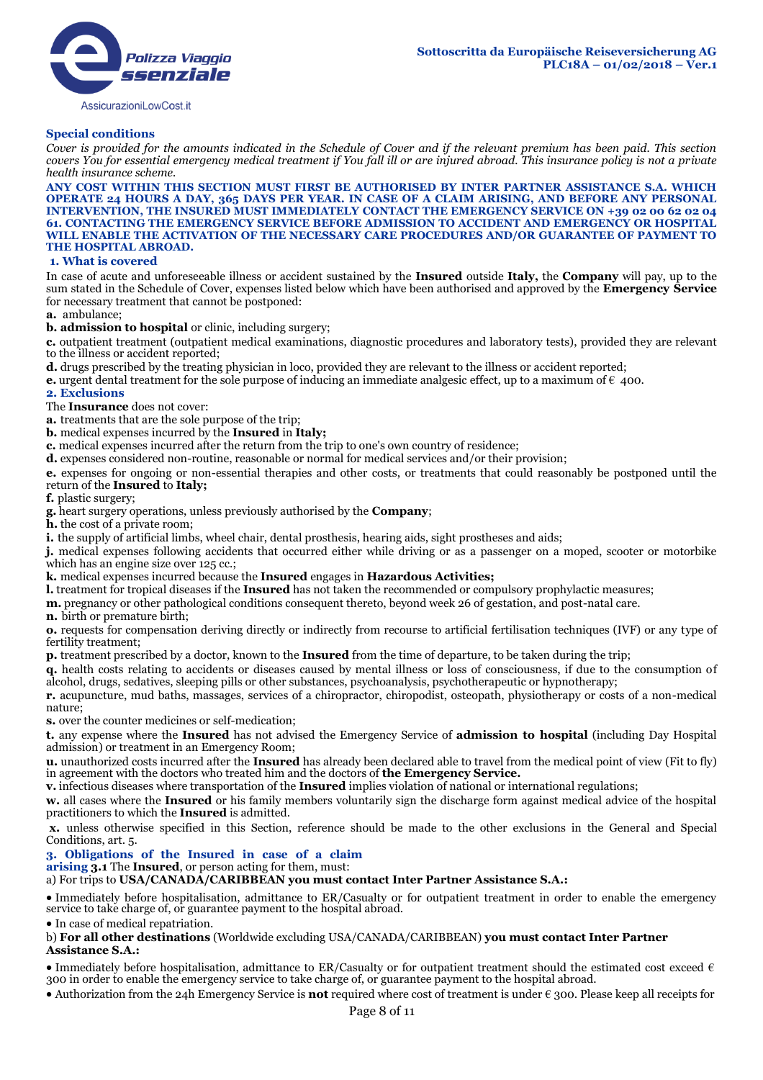# **Special conditions**

*Cover is provided for the amounts indicated in the Schedule of Cover and if the relevant premium has been paid. This section covers You for essential emergency medical treatment if You fall ill or are injured abroad. This insurance policy is not a private health insurance scheme.*

**ANY COST WITHIN THIS SECTION MUST FIRST BE AUTHORISED BY INTER PARTNER ASSISTANCE S.A. WHICH OPERATE 24 HOURS A DAY, 365 DAYS PER YEAR. IN CASE OF A CLAIM ARISING, AND BEFORE ANY PERSONAL INTERVENTION, THE INSURED MUST IMMEDIATELY CONTACT THE EMERGENCY SERVICE ON +39 02 00 62 02 04 61. CONTACTING THE EMERGENCY SERVICE BEFORE ADMISSION TO ACCIDENT AND EMERGENCY OR HOSPITAL WILL ENABLE THE ACTIVATION OF THE NECESSARY CARE PROCEDURES AND/OR GUARANTEE OF PAYMENT TO THE HOSPITAL ABROAD.**

### **1. What is covered**

In case of acute and unforeseeable illness or accident sustained by the **Insured** outside **Italy,** the **Company** will pay, up to the sum stated in the Schedule of Cover, expenses listed below which have been authorised and approved by the **Emergency Service** for necessary treatment that cannot be postponed:

**a.** ambulance;

**b. admission to hospital** or clinic, including surgery;

**c.** outpatient treatment (outpatient medical examinations, diagnostic procedures and laboratory tests), provided they are relevant to the illness or accident reported;

**d.** drugs prescribed by the treating physician in loco, provided they are relevant to the illness or accident reported;

**e.** urgent dental treatment for the sole purpose of inducing an immediate analgesic effect, up to a maximum of  $\epsilon$  400.

#### **2. Exclusions**

The **Insurance** does not cover:

**a.** treatments that are the sole purpose of the trip;

**b.** medical expenses incurred by the **Insured** in **Italy;**

**c.** medical expenses incurred after the return from the trip to one's own country of residence;

**d.** expenses considered non-routine, reasonable or normal for medical services and/or their provision;

**e.** expenses for ongoing or non-essential therapies and other costs, or treatments that could reasonably be postponed until the return of the **Insured** to **Italy;**

**f.** plastic surgery;

**g.** heart surgery operations, unless previously authorised by the **Company**;

**h.** the cost of a private room;

**i.** the supply of artificial limbs, wheel chair, dental prosthesis, hearing aids, sight prostheses and aids;

**j.** medical expenses following accidents that occurred either while driving or as a passenger on a moped, scooter or motorbike which has an engine size over 125 cc.;

**k.** medical expenses incurred because the **Insured** engages in **Hazardous Activities;**

**l.** treatment for tropical diseases if the **Insured** has not taken the recommended or compulsory prophylactic measures;

**m.** pregnancy or other pathological conditions consequent thereto, beyond week 26 of gestation, and post-natal care.

**n.** birth or premature birth;

**o.** requests for compensation deriving directly or indirectly from recourse to artificial fertilisation techniques (IVF) or any type of fertility treatment;

**p.** treatment prescribed by a doctor, known to the **Insured** from the time of departure, to be taken during the trip;

**q.** health costs relating to accidents or diseases caused by mental illness or loss of consciousness, if due to the consumption of alcohol, drugs, sedatives, sleeping pills or other substances, psychoanalysis, psychotherapeutic or hypnotherapy;

**r.** acupuncture, mud baths, massages, services of a chiropractor, chiropodist, osteopath, physiotherapy or costs of a non-medical nature;

**s.** over the counter medicines or self-medication;

**t.** any expense where the **Insured** has not advised the Emergency Service of **admission to hospital** (including Day Hospital admission) or treatment in an Emergency Room;

**u.** unauthorized costs incurred after the **Insured** has already been declared able to travel from the medical point of view (Fit to fly) in agreement with the doctors who treated him and the doctors of **the Emergency Service.**

**v.** infectious diseases where transportation of the **Insured** implies violation of national or international regulations;

**w.** all cases where the **Insured** or his family members voluntarily sign the discharge form against medical advice of the hospital practitioners to which the **Insured** is admitted.

**x.** unless otherwise specified in this Section, reference should be made to the other exclusions in the General and Special Conditions, art. 5.

### **3. Obligations of the Insured in case of a claim**

**arising 3.1** The **Insured**, or person acting for them, must:

a) For trips to **USA/CANADA/CARIBBEAN you must contact Inter Partner Assistance S.A.:**

 Immediately before hospitalisation, admittance to ER/Casualty or for outpatient treatment in order to enable the emergency service to take charge of, or guarantee payment to the hospital abroad.

• In case of medical repatriation.

b) **For all other destinations** (Worldwide excluding USA/CANADA/CARIBBEAN) **you must contact Inter Partner Assistance S.A.:**

• Immediately before hospitalisation, admittance to ER/Casualty or for outpatient treatment should the estimated cost exceed  $\epsilon$ 300 in order to enable the emergency service to take charge of, or guarantee payment to the hospital abroad.

Authorization from the 24h Emergency Service is **not** required where cost of treatment is under € 300. Please keep all receipts for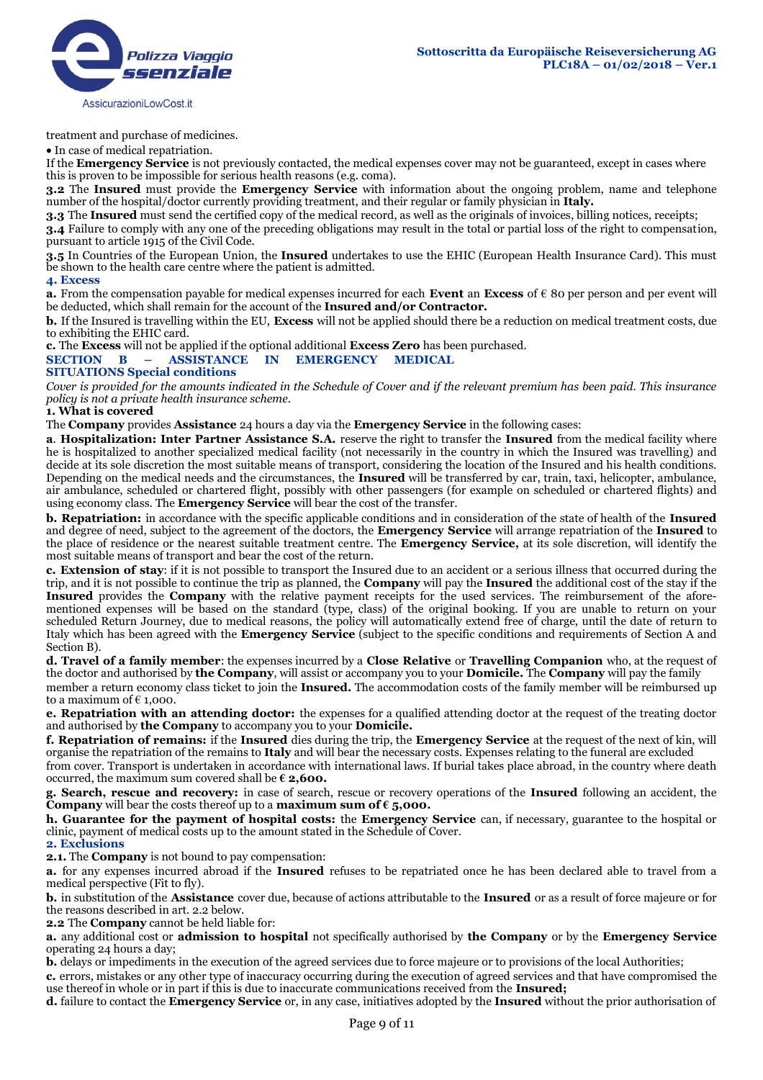

treatment and purchase of medicines.

In case of medical repatriation.

If the **Emergency Service** is not previously contacted, the medical expenses cover may not be guaranteed, except in cases where this is proven to be impossible for serious health reasons (e.g. coma).

**3.2** The **Insured** must provide the **Emergency Service** with information about the ongoing problem, name and telephone number of the hospital/doctor currently providing treatment, and their regular or family physician in **Italy.**

**3.3** The **Insured** must send the certified copy of the medical record, as well as the originals of invoices, billing notices, receipts;

**3.4** Failure to comply with any one of the preceding obligations may result in the total or partial loss of the right to compensation, pursuant to article 1915 of the Civil Code.

**3.5** In Countries of the European Union, the **Insured** undertakes to use the EHIC (European Health Insurance Card). This must be shown to the health care centre where the patient is admitted.

#### **4. Excess**

**a.** From the compensation payable for medical expenses incurred for each **Event** an **Excess** of € 80 per person and per event will be deducted, which shall remain for the account of the **Insured and/or Contractor.**

**b.** If the Insured is travelling within the EU, **Excess** will not be applied should there be a reduction on medical treatment costs, due to exhibiting the EHIC card.

**c.** The **Excess** will not be applied if the optional additional **Excess Zero** has been purchased.

# **SECTION B – ASSISTANCE IN EMERGENCY MEDICAL**

# **SITUATIONS Special conditions**

*Cover is provided for the amounts indicated in the Schedule of Cover and if the relevant premium has been paid. This insurance policy is not a private health insurance scheme.* 

#### **1. What is covered**

The **Company** provides **Assistance** 24 hours a day via the **Emergency Service** in the following cases:

**a**. **Hospitalization: Inter Partner Assistance S.A.** reserve the right to transfer the **Insured** from the medical facility where he is hospitalized to another specialized medical facility (not necessarily in the country in which the Insured was travelling) and decide at its sole discretion the most suitable means of transport, considering the location of the Insured and his health conditions. Depending on the medical needs and the circumstances, the **Insured** will be transferred by car, train, taxi, helicopter, ambulance, air ambulance, scheduled or chartered flight, possibly with other passengers (for example on scheduled or chartered flights) and using economy class. The **Emergency Service** will bear the cost of the transfer.

**b. Repatriation:** in accordance with the specific applicable conditions and in consideration of the state of health of the **Insured**  and degree of need, subject to the agreement of the doctors, the **Emergency Service** will arrange repatriation of the **Insured** to the place of residence or the nearest suitable treatment centre. The **Emergency Service,** at its sole discretion, will identify the most suitable means of transport and bear the cost of the return.

**c. Extension of stay**: if it is not possible to transport the Insured due to an accident or a serious illness that occurred during the trip, and it is not possible to continue the trip as planned, the **Company** will pay the **Insured** the additional cost of the stay if the **Insured** provides the **Company** with the relative payment receipts for the used services. The reimbursement of the aforementioned expenses will be based on the standard (type, class) of the original booking. If you are unable to return on your scheduled Return Journey, due to medical reasons, the policy will automatically extend free of charge, until the date of return to Italy which has been agreed with the **Emergency Service** (subject to the specific conditions and requirements of Section A and Section B).

**d. Travel of a family member**: the expenses incurred by a **Close Relative** or **Travelling Companion** who, at the request of the doctor and authorised by **the Company**, will assist or accompany you to your **Domicile.** The **Company** will pay the family member a return economy class ticket to join the **Insured.** The accommodation costs of the family member will be reimbursed up to a maximum of  $\epsilon$  1,000.

**e. Repatriation with an attending doctor:** the expenses for a qualified attending doctor at the request of the treating doctor and authorised by **the Company** to accompany you to your **Domicile.**

**f. Repatriation of remains:** if the **Insured** dies during the trip, the **Emergency Service** at the request of the next of kin, will organise the repatriation of the remains to **Italy** and will bear the necessary costs. Expenses relating to the funeral are excluded

from cover. Transport is undertaken in accordance with international laws. If burial takes place abroad, in the country where death occurred, the maximum sum covered shall be  $\epsilon$  **2,600.** 

**g. Search, rescue and recovery:** in case of search, rescue or recovery operations of the **Insured** following an accident, the **Company** will bear the costs thereof up to a **maximum sum of € 5,000.** 

**h. Guarantee for the payment of hospital costs:** the **Emergency Service** can, if necessary, guarantee to the hospital or clinic, payment of medical costs up to the amount stated in the Schedule of Cover.

#### **2. Exclusions**

**2.1.** The **Company** is not bound to pay compensation:

**a.** for any expenses incurred abroad if the **Insured** refuses to be repatriated once he has been declared able to travel from a medical perspective (Fit to fly).

**b.** in substitution of the **Assistance** cover due, because of actions attributable to the **Insured** or as a result of force majeure or for the reasons described in art. 2.2 below.

**2.2** The **Company** cannot be held liable for:

**a.** any additional cost or **admission to hospital** not specifically authorised by **the Company** or by the **Emergency Service**  operating 24 hours a day;

**b.** delays or impediments in the execution of the agreed services due to force majeure or to provisions of the local Authorities;

**c.** errors, mistakes or any other type of inaccuracy occurring during the execution of agreed services and that have compromised the use thereof in whole or in part if this is due to inaccurate communications received from the **Insured;**

**d.** failure to contact the **Emergency Service** or, in any case, initiatives adopted by the **Insured** without the prior authorisation of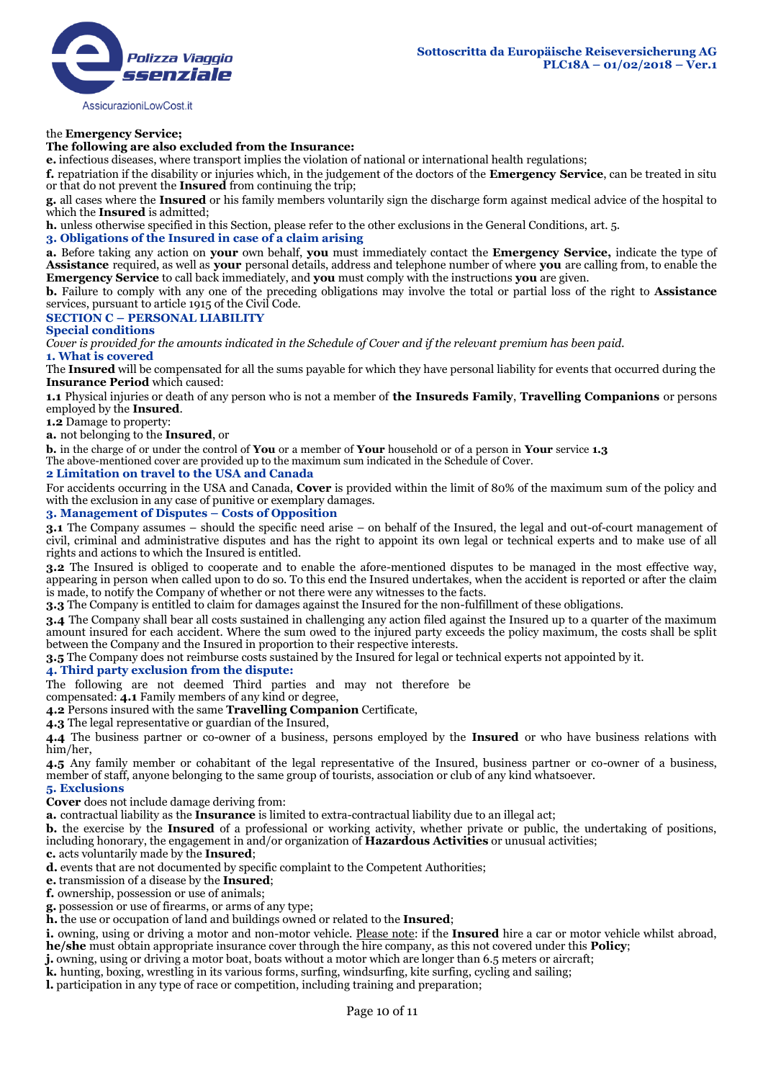# the **Emergency Service;**

### **The following are also excluded from the Insurance:**

**e.** infectious diseases, where transport implies the violation of national or international health regulations;

**f.** repatriation if the disability or injuries which, in the judgement of the doctors of the **Emergency Service**, can be treated in situ or that do not prevent the **Insured** from continuing the trip;

**g.** all cases where the **Insured** or his family members voluntarily sign the discharge form against medical advice of the hospital to which the **Insured** is admitted;

**h.** unless otherwise specified in this Section, please refer to the other exclusions in the General Conditions, art. 5.

#### **3. Obligations of the Insured in case of a claim arising**

**a.** Before taking any action on **your** own behalf, **you** must immediately contact the **Emergency Service,** indicate the type of **Assistance** required, as well as **your** personal details, address and telephone number of where **you** are calling from, to enable the **Emergency Service** to call back immediately, and **you** must comply with the instructions **you** are given.

**b.** Failure to comply with any one of the preceding obligations may involve the total or partial loss of the right to **Assistance** services, pursuant to article 1915 of the Civil Code.

### **SECTION C – PERSONAL LIABILITY**

**Special conditions** 

*Cover is provided for the amounts indicated in the Schedule of Cover and if the relevant premium has been paid.* 

#### **1. What is covered**

The **Insured** will be compensated for all the sums payable for which they have personal liability for events that occurred during the **Insurance Period** which caused:

**1.1** Physical injuries or death of any person who is not a member of **the Insureds Family**, **Travelling Companions** or persons employed by the **Insured**.

**1.2** Damage to property:

**a.** not belonging to the **Insured**, or

**b.** in the charge of or under the control of **You** or a member of **Your** household or of a person in **Your** service **1.3** 

The above-mentioned cover are provided up to the maximum sum indicated in the Schedule of Cover.

#### **2 Limitation on travel to the USA and Canada**

For accidents occurring in the USA and Canada, **Cover** is provided within the limit of 80% of the maximum sum of the policy and with the exclusion in any case of punitive or exemplary damages.

### **3. Management of Disputes – Costs of Opposition**

**3.1** The Company assumes – should the specific need arise – on behalf of the Insured, the legal and out-of-court management of civil, criminal and administrative disputes and has the right to appoint its own legal or technical experts and to make use of all rights and actions to which the Insured is entitled.

**3.2** The Insured is obliged to cooperate and to enable the afore-mentioned disputes to be managed in the most effective way, appearing in person when called upon to do so. To this end the Insured undertakes, when the accident is reported or after the claim is made, to notify the Company of whether or not there were any witnesses to the facts.

**3.3** The Company is entitled to claim for damages against the Insured for the non-fulfillment of these obligations.

**3.4** The Company shall bear all costs sustained in challenging any action filed against the Insured up to a quarter of the maximum amount insured for each accident. Where the sum owed to the injured party exceeds the policy maximum, the costs shall be split between the Company and the Insured in proportion to their respective interests.

**3.5** The Company does not reimburse costs sustained by the Insured for legal or technical experts not appointed by it.

# **4. Third party exclusion from the dispute:**

The following are not deemed Third parties and may not therefore be

compensated: **4.1** Family members of any kind or degree,

**4.2** Persons insured with the same **Travelling Companion** Certificate,

**4.3** The legal representative or guardian of the Insured,

**4.4** The business partner or co-owner of a business, persons employed by the **Insured** or who have business relations with him/her,

**4.5** Any family member or cohabitant of the legal representative of the Insured, business partner or co-owner of a business, member of staff, anyone belonging to the same group of tourists, association or club of any kind whatsoever. **5. Exclusions** 

**Cover** does not include damage deriving from:

**a.** contractual liability as the **Insurance** is limited to extra-contractual liability due to an illegal act;

**b.** the exercise by the **Insured** of a professional or working activity, whether private or public, the undertaking of positions, including honorary, the engagement in and/or organization of **Hazardous Activities** or unusual activities;

**c.** acts voluntarily made by the **Insured**;

**d.** events that are not documented by specific complaint to the Competent Authorities;

**e.** transmission of a disease by the **Insured**;

**f.** ownership, possession or use of animals;

**g.** possession or use of firearms, or arms of any type;

**h.** the use or occupation of land and buildings owned or related to the **Insured**;

**i.** owning, using or driving a motor and non-motor vehicle. Please note: if the Insured hire a car or motor vehicle whilst abroad, **he/she** must obtain appropriate insurance cover through the hire company, as this not covered under this **Policy**;

**j.** owning, using or driving a motor boat, boats without a motor which are longer than 6.5 meters or aircraft;

**k.** hunting, boxing, wrestling in its various forms, surfing, windsurfing, kite surfing, cycling and sailing;

**l.** participation in any type of race or competition, including training and preparation;